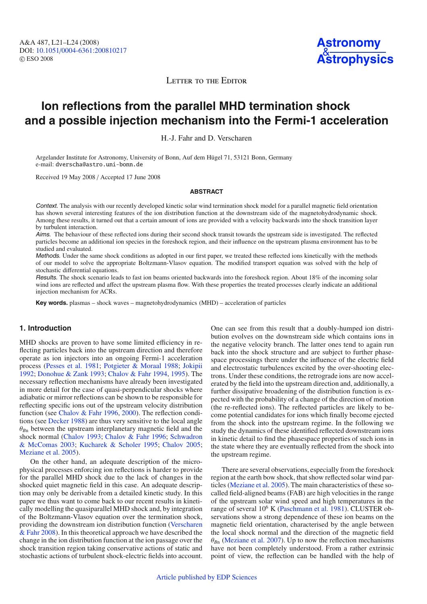A&A 487, L21–L24 (2008) DOI: 10.1051/[0004-6361:200810217](http://dx.doi.org/10.1051/0004-6361:200810217) © ESO 2008



LETTER TO THE EDITOR

# **Ion reflections from the parallel MHD termination shock and a possible injection mechanism into the Fermi-1 acceleration**

H.-J. Fahr and D. Verscharen

Argelander Institute for Astronomy, University of Bonn, Auf dem Hügel 71, 53121 Bonn, Germany e-mail: dverscha@astro.uni-bonn.de

Received 19 May 2008 / Accepted 17 June 2008

### **ABSTRACT**

Context. The analysis with our recently developed kinetic solar wind termination shock model for a parallel magnetic field orientation has shown several interesting features of the ion distribution function at the downstream side of the magnetohydrodynamic shock. Among these results, it turned out that a certain amount of ions are provided with a velocity backwards into the shock transition layer by turbulent interaction.

Aims. The behaviour of these reflected ions during their second shock transit towards the upstream side is investigated. The reflected particles become an additional ion species in the foreshock region, and their influence on the upstream plasma environment has to be studied and evaluated.

Methods. Under the same shock conditions as adopted in our first paper, we treated these reflected ions kinetically with the methods of our model to solve the appropriate Boltzmann-Vlasov equation. The modified transport equation was solved with the help of stochastic differential equations.

Results. The shock scenario leads to fast ion beams oriented backwards into the foreshock region. About 18% of the incoming solar wind ions are reflected and affect the upstream plasma flow. With these properties the treated processes clearly indicate an additional injection mechanism for ACRs.

**Key words.** plasmas – shock waves – magnetohydrodynamics (MHD) – acceleration of particles

# **1. Introduction**

MHD shocks are proven to have some limited efficiency in reflecting particles back into the upstream direction and therefore operate as ion injectors into an ongoing Fermi-1 acceleration process [\(Pesses et al. 1981](#page-3-0); [Potgieter & Moraal 1988;](#page-3-1) [Jokipii](#page-3-2) [1992](#page-3-2); [Donohue & Zank 1993](#page-3-3); [Chalov & Fahr 1994](#page-3-4), [1995](#page-3-5)). The necessary reflection mechanisms have already been investigated in more detail for the case of quasi-perpendicular shocks where adiabatic or mirror reflections can be shown to be responsible for reflecting specific ions out of the upstream velocity distribution function (see [Chalov & Fahr 1996,](#page-3-6) [2000\)](#page-3-7). The reflection conditions (see [Decker 1988](#page-3-8)) are thus very sensitive to the local angle  $\theta_{Bn}$  between the upstream interplanetary magnetic field and the shock normal [\(Chalov 1993;](#page-3-9) [Chalov & Fahr 1996](#page-3-6)[;](#page-3-10) Schwadron & McComas [2003](#page-3-10); [Kucharek & Scholer 1995;](#page-3-11) [Chalov 2005](#page-3-12); [Meziane et al. 2005\)](#page-3-13).

On the other hand, an adequate description of the microphysical processes enforcing ion reflections is harder to provide for the parallel MHD shock due to the lack of changes in the shocked quiet magnetic field in this case. An adequate description may only be derivable from a detailed kinetic study. In this paper we thus want to come back to our recent results in kinetically modelling the quasiparallel MHD shock and, by integration of the Boltzmann-Vlasov equation over the termination shock, provid[ing](#page-3-14) [the](#page-3-14) [downstream](#page-3-14) [ion](#page-3-14) [distribution](#page-3-14) [function](#page-3-14) [\(](#page-3-14)Verscharen & Fahr [2008\)](#page-3-14). In this theoretical approach we have described the change in the ion distribution function at the ion passage over the shock transition region taking conservative actions of static and stochastic actions of turbulent shock-electric fields into account.

One can see from this result that a doubly-humped ion distribution evolves on the downstream side which contains ions in the negative velocity branch. The latter ones tend to again run back into the shock structure and are subject to further phasespace processings there under the influence of the electric field and electrostatic turbulences excited by the over-shooting electrons. Under these conditions, the retrograde ions are now accelerated by the field into the upstream direction and, additionally, a further dissipative broadening of the distribution function is expected with the probability of a change of the direction of motion (the re-reflected ions). The reflected particles are likely to become potential candidates for ions which finally become ejected from the shock into the upstream regime. In the following we study the dynamics of these identified reflected downstream ions in kinetic detail to find the phasespace properties of such ions in the state where they are eventually reflected from the shock into the upstream regime.

There are several observations, especially from the foreshock region at the earth bow shock, that show reflected solar wind particles [\(Meziane et al. 2005\)](#page-3-13). The main characteristics of these socalled field-aligned beams (FAB) are high velocities in the range of the upstream solar wind speed and high temperatures in the range of several 10<sup>6</sup> K [\(Paschmann et al. 1981](#page-3-15)). CLUSTER observations show a strong dependence of these ion beams on the magnetic field orientation, characterised by the angle between the local shock normal and the direction of the magnetic field  $\theta_{Bn}$  [\(Meziane et al. 2007\)](#page-3-16). Up to now the reflection mechanisms have not been completely understood. From a rather extrinsic point of view, the reflection can be handled with the help of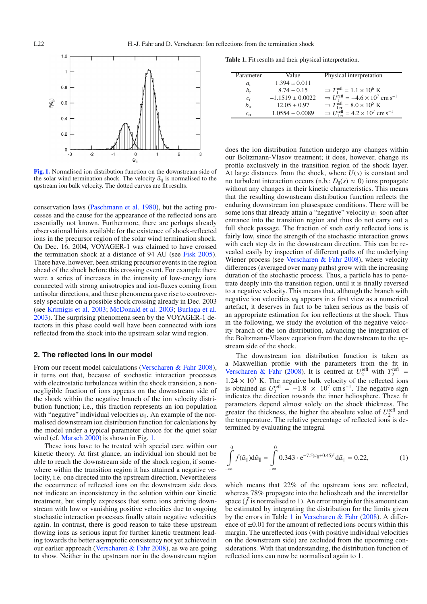<span id="page-1-0"></span>

**[Fig. 1.](http://dexter.edpsciences.org/applet.php?DOI=10.1051/0004-6361:200810217&pdf_id=1)** Normalised ion distribution function on the downstream side of the solar wind termination shock. The velocity  $\tilde{w}_{\parallel}$  is normalised to the upstream ion bulk velocity. The dotted curves are fit results.

conservation laws [\(Paschmann et al. 1980\)](#page-3-17), but the acting processes and the cause for the appearance of the reflected ions are essentially not known. Furthermore, there are perhaps already observational hints available for the existence of shock-reflected ions in the precursor region of the solar wind termination shock. On Dec. 16, 2004, VOYAGER-1 was claimed to have crossed the termination shock at a distance of 94 AU (see [Fisk 2005](#page-3-18)). There have, however, been striking precursor events in the region ahead of the shock before this crossing event. For example there were a series of increases in the intensity of low-energy ions connected with strong anisotropies and ion-fluxes coming from antisolar directions, and these phenomena gave rise to controversely speculate on a possible shock crossing already in Dec. 2003 (see [Krimigis et al. 2003;](#page-3-19) [McDonald et al. 2003;](#page-3-20) [Burlaga et al.](#page-3-21) [2003](#page-3-21)). The surprising phenomena seen by the VOYAGER-1 detectors in this phase could well have been connected with ions reflected from the shock into the upstream solar wind region.

#### <span id="page-1-2"></span>**2. The reflected ions in our model**

From our recent model calculations [\(Verscharen & Fahr 2008](#page-3-14)), it turns out that, because of stochastic interaction processes with electrostatic turbulences within the shock transition, a nonnegligible fraction of ions appears on the downstream side of the shock within the negative branch of the ion velocity distribution function; i.e., this fraction represents an ion population with "negative" individual velocities  $w_{\parallel}$ . An example of the normalised downstream ion distribution function for calculations by the model under a typical parameter choice for the quiet solar wind (cf. [Marsch 2000](#page-3-22)) is shown in Fig. [1.](#page-1-0)

These ions have to be treated with special care within our kinetic theory. At first glance, an individual ion should not be able to reach the downstream side of the shock region, if somewhere within the transition region it has attained a negative velocity, i.e. one directed into the upstream direction. Nevertheless the occurrence of reflected ions on the downstream side does not indicate an inconsistency in the solution within our kinetic treatment, but simply expresses that some ions arriving downstream with low or vanishing positive velocities due to ongoing stochastic interaction processes finally attain negative velocities again. In contrast, there is good reason to take these upstream flowing ions as serious input for further kinetic treatment leading towards the better asymptotic consistency not yet achieved in our earlier approach [\(Verscharen & Fahr 2008](#page-3-14)), as we are going to show. Neither in the upstream nor in the downstream region

<span id="page-1-1"></span>**Table 1.** Fit results and their physical interpretation.

| Parameter   | Value                | Physical interpretation                                                          |
|-------------|----------------------|----------------------------------------------------------------------------------|
| $a_{r}$     | $1.394 \pm 0.011$    |                                                                                  |
| $b_r$       | $8.74 \pm 0.15$      | $\Rightarrow T_1^{\text{refl}} = 1.1 \times 10^6 \text{ K}$                      |
| $c_{\rm r}$ | $-1.1519 \pm 0.0022$ | $\Rightarrow U_1^{\text{refl}} = -4.6 \times 10^7 \text{ cm s}^{-1}$             |
| $b_{rr}$    | $12.05 \pm 0.97$     | $\Rightarrow T_{1 \text{ tr}}^{\text{refl}} = 8.0 \times 10^5 \text{ K}$         |
| $c_{rr}$    | $1.0554 \pm 0.0089$  | $\Rightarrow U_{1\,\text{rr}}^{\text{refl}} = 4.2 \times 10^7 \text{ cm s}^{-1}$ |

does the ion distribution function undergo any changes within our Boltzmann-Vlasov treatment; it does, however, change its profile exclusively in the transition region of the shock layer. At large distances from the shock, where *U*(*s*) is constant and no turbulent interaction occurs (n.b.:  $D_{\parallel}(s) \approx 0$ ) ions propagate without any changes in their kinetic characteristics. This means that the resulting downstream distribution function reflects the enduring downstream ion phasespace conditions. There will be some ions that already attain a "negative" velocity  $w_{\parallel}$  soon after entrance into the transition region and thus do not carry out a full shock passage. The fraction of such early reflected ions is fairly low, since the strength of the stochastic interaction grows with each step d*s* in the downstream direction. This can be revealed easily by inspection of different paths of the underlying Wiener process (see [Verscharen & Fahr 2008\)](#page-3-14), where velocity differences (averaged over many paths) grow with the increasing duration of the stochastic process. Thus, a particle has to penetrate deeply into the transition region, until it is finally reversed to a negative velocity. This means that, although the branch with negative ion velocities  $w_{\parallel}$  appears in a first view as a numerical artefact, it deserves in fact to be taken serious as the basis of an appropriate estimation for ion reflections at the shock. Thus in the following, we study the evolution of the negative velocity branch of the ion distribution, advancing the integration of the Boltzmann-Vlasov equation from the downstream to the upstream side of the shock.

The downstream ion distribution function is taken as a Maxwellian profile with the parameters from the fit in [Verscharen & Fahr](#page-3-14) [\(2008](#page-3-14)). It is centred at  $U_2^{\text{refl}}$  with  $T_2^{\text{refl}}$  =  $1.24 \times 10^5$  K. The negative bulk velocity of the reflected ions is obtained as  $U_2^{\text{refl}} = -1.8 \times 10^7 \text{ cm s}^{-1}$ . The negative sign indicates the direction towards the inner heliosphere. These fit parameters depend almost solely on the shock thickness. The greater the thickness, the higher the absolute value of  $U_2^{\text{refl}}$  and the temperature. The relative percentage of reflected ions is determined by evaluating the integral

$$
\int_{-\infty}^{0} \bar{f}(\tilde{w}_{\parallel}) d\tilde{w}_{\parallel} = \int_{-\infty}^{0} 0.343 \cdot e^{-7.5(\tilde{w}_{\parallel} + 0.45)^{2}} d\tilde{w}_{\parallel} = 0.22, \tag{1}
$$

which means that 22% of the upstream ions are reflected, whereas 78% propagate into the heliosheath and the interstellar space  $(f$  is normalised to 1). An error margin for this amount can be estimated by integrating the distribution for the limits given by the errors in Table [1](#page-1-1) in [Verscharen & Fahr](#page-3-14) [\(2008](#page-3-14)). A difference of  $\pm 0.01$  for the amount of reflected ions occurs within this margin. The unreflected ions (with positive individual velocities on the downstream side) are excluded from the upcoming considerations. With that understanding, the distribution function of reflected ions can now be normalised again to 1.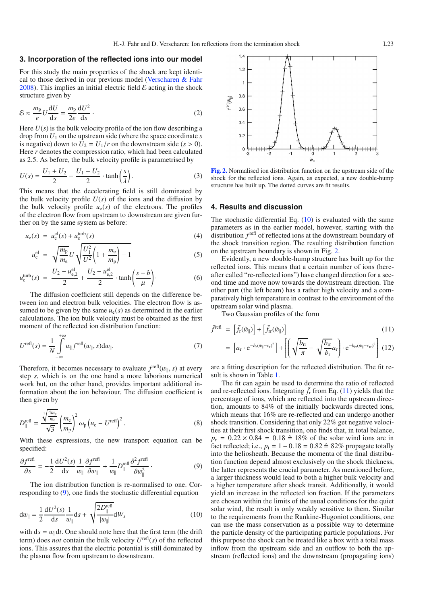#### **3. Incorporation of the reflected ions into our model**

For this study the main properties of the shock are kept identical to those derived in our previous model [\(Verscharen & Fahr](#page-3-14) [2008](#page-3-14)). This implies an initial electric field  $\mathcal E$  acting in the shock structure given by

$$
\mathcal{E} \approx \frac{m_{\rm p}}{e} U \frac{\mathrm{d}U}{\mathrm{d}s} = \frac{m_{\rm p}}{2e} \frac{\mathrm{d}U^2}{\mathrm{d}s} \,. \tag{2}
$$

Here  $U(s)$  is the bulk velocity profile of the ion flow describing a drop from *U*<sup>1</sup> on the upstream side (where the space coordinate *s* is negative) down to  $U_2 = U_1/r$  on the downstream side ( $s > 0$ ). Here *r* denotes the compression ratio, which had been calculated as 2.5. As before, the bulk velocity profile is parametrised by

$$
U(s) = \frac{U_1 + U_2}{2} - \frac{U_1 - U_2}{2} \cdot \tanh\left(\frac{s}{\lambda}\right).
$$
 (3)

This means that the decelerating field is still dominated by the bulk velocity profile  $U(s)$  of the ions and the diffusion by the bulk velocity profile  $u_e(s)$  of the electrons. The profiles of the electron flow from upstream to downstream are given further on by the same system as before:

$$
u_{e}(s) = u_{e}^{\text{el}}(s) + u_{e}^{\text{turb}}(s)
$$
\n
$$
(4)
$$

$$
u_{e}^{\text{el}} = \sqrt{\frac{m_{\text{p}}}{m_{\text{e}}}U\sqrt{\frac{U_{1}^{2}}{U^{2}}\left(1 + \frac{m_{\text{e}}}{m_{\text{p}}}\right) - 1}}
$$
(5)

$$
u_{e}^{\text{turb}}(s) = \frac{U_{2} - u_{e,2}^{\text{el}}}{2} + \frac{U_{2} - u_{e,2}^{\text{el}}}{2} \cdot \tanh\left(\frac{s - b}{\mu}\right). \tag{6}
$$

<span id="page-2-4"></span>The diffusion coefficient still depends on the difference between ion and electron bulk velocities. The electron flow is assumed to be given by the same  $u_e(s)$  as determined in the earlier calculations. The ion bulk velocity must be obtained as the first moment of the reflected ion distribution function:

$$
U^{\text{refl}}(s) = \frac{1}{N} \int_{-\infty}^{+\infty} w_{\parallel} f^{\text{refl}}(w_{\parallel}, s) \mathrm{d}w_{\parallel}. \tag{7}
$$

<span id="page-2-0"></span>Therefore, it becomes necessary to evaluate  $f^{\text{refl}}(w_{\parallel}, s)$  at every step *s*, which is on the one hand a more laborious numerical work but, on the other hand, provides important additional information about the ion behaviour. The diffusion coefficient is then given by

<span id="page-2-1"></span>
$$
D_{\parallel}^{\text{refl}} = \frac{\sqrt[3]{\frac{4m_{\text{p}}}{m_{\text{e}}}}}{\sqrt{3}} \left(\frac{m_{\text{e}}}{m_{\text{p}}}\right)^2 \omega_{\text{p}} \left(u_{\text{e}} - U^{\text{refl}}\right)^2.
$$
 (8)

With these expressions, the new transport equation can be specified:

$$
\frac{\partial f^{\text{refl}}}{\partial s} = -\frac{1}{2} \frac{\mathrm{d}U^2(s)}{\mathrm{d}s} \frac{1}{w_{\parallel}} \frac{\partial f^{\text{refl}}}{\partial w_{\parallel}} + \frac{1}{w_{\parallel}} D_{\parallel}^{\text{refl}} \frac{\partial^2 f^{\text{refl}}}{\partial w_{\parallel}^2} \,. \tag{9}
$$

The ion distribution function is re-normalised to one. Corresponding to [\(9\)](#page-2-0), one finds the stochastic differential equation

$$
dw_{\parallel} = \frac{1}{2} \frac{dU^2(s)}{ds} \frac{1}{w_{\parallel}} ds + \sqrt{\frac{2D_{\parallel}^{\text{refl}}}{|w_{\parallel}|}} dW_s
$$
 (10)

with  $ds = w_{\parallel} dt$ . One should note here that the first term (the drift term) does *not* contain the bulk velocity  $U^{\text{refl}}(s)$  of the reflected ions. This assures that the electric potential is still dominated by the plasma flow from upstream to downstream.

<span id="page-2-2"></span>

**[Fig. 2.](http://dexter.edpsciences.org/applet.php?DOI=10.1051/0004-6361:200810217&pdf_id=2)** Normalised ion distribution function on the upstream side of the shock for the reflected ions. Again, as expected, a new double-hump structure has built up. The dotted curves are fit results.

#### **4. Results and discussion**

The stochastic differential Eq.  $(10)$  is evaluated with the same parameters as in the earlier model, however, starting with the distribution  $f^{\text{refl}}$  of reflected ions at the downstream boundary of the shock transition region. The resulting distribution function on the upstream boundary is shown in Fig. [2.](#page-2-2)

Evidently, a new double-hump structure has built up for the reflected ions. This means that a certain number of ions (hereafter called "re-reflected ions") have changed direction for a second time and move now towards the downstream direction. The other part (the left beam) has a rather high velocity and a comparatively high temperature in contrast to the environment of the upstream solar wind plasma.

Two Gaussian profiles of the form

<span id="page-2-3"></span>
$$
\bar{f}^{\text{refl}} = \left[ \bar{f}_{\text{r}}(\tilde{w}_{\parallel}) \right] + \left[ \bar{f}_{\text{rr}}(\tilde{w}_{\parallel}) \right]
$$
\n
$$
= \left[ a_{\text{r}} \cdot e^{-b_{\text{r}}(\tilde{w}_{\parallel} - c_{\text{r}})^{2}} \right] + \left[ \left( \sqrt{\frac{b_{\text{rr}}}{\pi}} - \sqrt{\frac{b_{\text{rr}}}{b}} a_{\text{r}} \right) \cdot e^{-b_{\text{rr}}(\tilde{w}_{\parallel} - c_{\text{rr}})^{2}} \right] (12)
$$

⎢⎢⎢⎢⎢⎣ ⎜⎜⎜⎜⎜⎝ π −  $\frac{\partial \Pi}{\partial r} a_r$  $\left.\int\! \cdot e^{-b_{\text{rr}}(\tilde{w}_{\parallel}-c_{\text{rr}})^2}\right\}$ ⎥⎥⎥⎥⎥⎦

are a fitting description for the reflected distribution. The fit result is shown in Table [1.](#page-1-1)

The fit can again be used to determine the ratio of reflected and re-reflected ions. Integrating  $\bar{f}_r$  from Eq. [\(11\)](#page-2-3) yields that the percentage of ions, which are reflected into the upstream direction, amounts to 84% of the initially backwards directed ions, which means that 16% are re-reflected and can undergo another shock transition. Considering that only 22% get negative velocities at their first shock transition, one finds that, in total balance,  $p_r = 0.22 \times 0.84 = 0.18 \hat{=} 18\%$  of the solar wind ions are in fact reflected; i.e.,  $p_t = 1 - 0.18 = 0.82 \hat{ } \approx 82\%$  propagate totally into the heliosheath. Because the momenta of the final distribution function depend almost exclusively on the shock thickness, the latter represents the crucial parameter. As mentioned before, a larger thickness would lead to both a higher bulk velocity and a higher temperature after shock transit. Additionally, it would yield an increase in the reflected ion fraction. If the parameters are chosen within the limits of the usual conditions for the quiet solar wind, the result is only weakly sensitive to them. Similar to the requirements from the Rankine-Hugoniot conditions, one can use the mass conservation as a possible way to determine the particle density of the participating particle populations. For this purpose the shock can be treated like a box with a total mass inflow from the upstream side and an outflow to both the upstream (reflected ions) and the downstream (propagating ions)